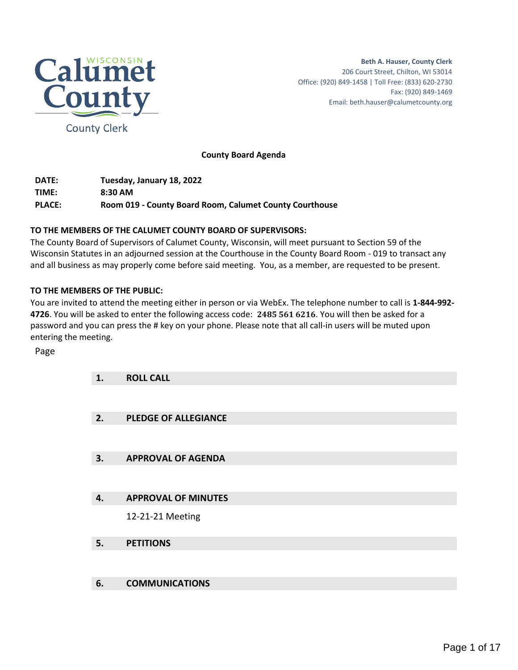

**County Board Agenda**

**DATE: Tuesday, January 18, 2022 TIME: 8:30 AM PLACE: Room 019 - County Board Room, Calumet County Courthouse**

# **TO THE MEMBERS OF THE CALUMET COUNTY BOARD OF SUPERVISORS:**

The County Board of Supervisors of Calumet County, Wisconsin, will meet pursuant to Section 59 of the Wisconsin Statutes in an adjourned session at the Courthouse in the County Board Room - 019 to transact any and all business as may properly come before said meeting. You, as a member, are requested to be present.

# **TO THE MEMBERS OF THE PUBLIC:**

You are invited to attend the meeting either in person or via WebEx. The telephone number to call is **1-844-992- 4726**. You will be asked to enter the following access code: **2485 561 6216**. You will then be asked for a password and you can press the # key on your phone. Please note that all call-in users will be muted upon entering the meeting.

Page

| 1. | <b>ROLL CALL</b>            |
|----|-----------------------------|
|    |                             |
| 2. | <b>PLEDGE OF ALLEGIANCE</b> |
|    |                             |
| 3. | <b>APPROVAL OF AGENDA</b>   |
|    |                             |
| 4. | <b>APPROVAL OF MINUTES</b>  |
|    | 12-21-21 Meeting            |
| 5. | <b>PETITIONS</b>            |
|    |                             |
| 6. | <b>COMMUNICATIONS</b>       |
|    |                             |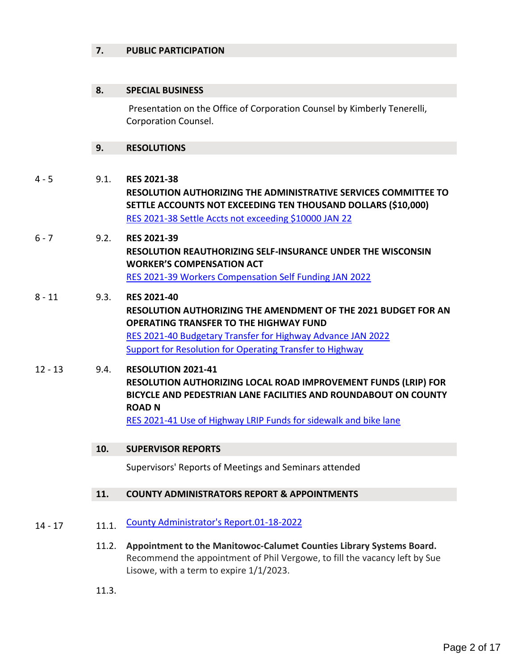# **7. PUBLIC PARTICIPATION**

# **8. SPECIAL BUSINESS**

Presentation on the Office of Corporation Counsel by Kimberly Tenerelli, Corporation Counsel.

## **9. RESOLUTIONS**

4 - 5 9.1. **RES 2021-38 RESOLUTION AUTHORIZING THE ADMINISTRATIVE SERVICES COMMITTEE TO SETTLE ACCOUNTS NOT EXCEEDING TEN THOUSAND DOLLARS (\$10,000)**  [RES 2021-38 Settle Accts not exceeding \\$10000 JAN 22](#page-3-0)

- 6 7 9.2. **RES 2021-39 RESOLUTION REAUTHORIZING SELF-INSURANCE UNDER THE WISCONSIN WORKER'S COMPENSATION ACT**  [RES 2021-39 Workers Compensation Self Funding JAN 2022](#page-5-0)
- 8 11 9.3. **RES 2021-40 RESOLUTION AUTHORIZING THE AMENDMENT OF THE 2021 BUDGET FOR AN OPERATING TRANSFER TO THE HIGHWAY FUND**  [RES 2021-40 Budgetary Transfer for Highway Advance JAN 2022](#page-7-0) [Support for Resolution for Operating Transfer to Highway](#page-9-0)
- 12 13 9.4. **RESOLUTION 2021-41 RESOLUTION AUTHORIZING LOCAL ROAD IMPROVEMENT FUNDS (LRIP) FOR BICYCLE AND PEDESTRIAN LANE FACILITIES AND ROUNDABOUT ON COUNTY ROAD N** [RES 2021-41 Use of Highway LRIP Funds for sidewalk and bike lane](#page-11-0)
	- **10. SUPERVISOR REPORTS**

Supervisors' Reports of Meetings and Seminars attended

## **11. COUNTY ADMINISTRATORS REPORT & APPOINTMENTS**

- 14 17 11.1. [County Administrator's Report.01-18-2022](#page-13-0)
	- 11.2. **Appointment to the Manitowoc-Calumet Counties Library Systems Board.**  Recommend the appointment of Phil Vergowe, to fill the vacancy left by Sue Lisowe, with a term to expire 1/1/2023.
	- 11.3.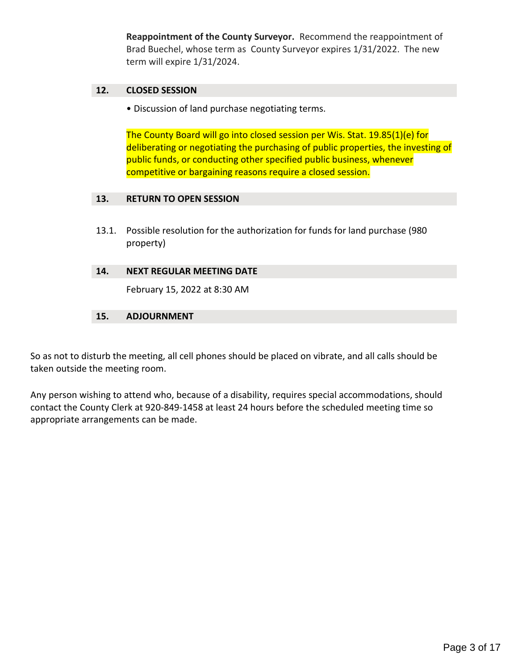**Reappointment of the County Surveyor.** Recommend the reappointment of Brad Buechel, whose term as County Surveyor expires 1/31/2022. The new term will expire 1/31/2024.

# **12. CLOSED SESSION**

• Discussion of land purchase negotiating terms.

The County Board will go into closed session per Wis. Stat. 19.85(1)(e) for deliberating or negotiating the purchasing of public properties, the investing of public funds, or conducting other specified public business, whenever competitive or bargaining reasons require a closed session.

## **13. RETURN TO OPEN SESSION**

13.1. Possible resolution for the authorization for funds for land purchase (980 property)

# **14. NEXT REGULAR MEETING DATE**

February 15, 2022 at 8:30 AM

# **15. ADJOURNMENT**

So as not to disturb the meeting, all cell phones should be placed on vibrate, and all calls should be taken outside the meeting room.

Any person wishing to attend who, because of a disability, requires special accommodations, should contact the County Clerk at 920-849-1458 at least 24 hours before the scheduled meeting time so appropriate arrangements can be made.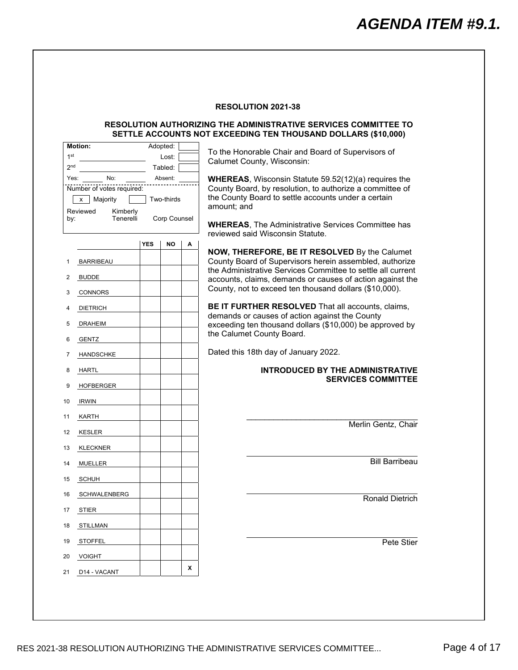#### **RESOLUTION AUTHORIZING THE ADMINISTRATIVE SERVICES COMMITTEE TO SETTLE ACCOUNTS NOT EXCEEDING TEN THOUSAND DOLLARS (\$10,000)**

<span id="page-3-0"></span>

| To the Honorable Chair and Board of Supervisors of                                                                       |   | Adopted:     |            | <b>Motion:</b>                             |                 |
|--------------------------------------------------------------------------------------------------------------------------|---|--------------|------------|--------------------------------------------|-----------------|
| Calumet County, Wisconsin:                                                                                               |   | Lost:        |            |                                            | 1 <sup>st</sup> |
|                                                                                                                          |   | Tabled:      |            |                                            | 2 <sub>nd</sub> |
| <b>WHEREAS, Wisconsin Statute 59.52(12)(a) requires the</b>                                                              |   | Absent:      |            | No:                                        | Yes:            |
| County Board, by resolution, to authorize a committee of<br>the County Board to settle accounts under a certain          |   | Two-thirds   |            | Number of votes required:<br>Majority<br>x |                 |
| amount; and                                                                                                              |   |              |            | Reviewed<br>Kimberly                       |                 |
|                                                                                                                          |   | Corp Counsel |            | Tenerelli                                  | by:             |
| <b>WHEREAS, The Administrative Services Committee has</b><br>reviewed said Wisconsin Statute.                            |   |              |            |                                            |                 |
|                                                                                                                          | Α | NO           | <b>YES</b> |                                            |                 |
| NOW, THEREFORE, BE IT RESOLVED By the Calumet<br>County Board of Supervisors herein assembled, authorize                 |   |              |            | <b>BARRIBEAU</b>                           | 1               |
| the Administrative Services Committee to settle all current<br>accounts, claims, demands or causes of action against the |   |              |            | <b>BUDDE</b>                               | 2               |
| County, not to exceed ten thousand dollars (\$10,000).                                                                   |   |              |            | <b>CONNORS</b>                             | 3               |
| BE IT FURTHER RESOLVED That all accounts, claims,                                                                        |   |              |            | <b>DIETRICH</b>                            | 4               |
| demands or causes of action against the County                                                                           |   |              |            | <b>DRAHEIM</b>                             | 5               |
| exceeding ten thousand dollars (\$10,000) be approved by<br>the Calumet County Board.                                    |   |              |            | <b>GENTZ</b>                               | 6               |
| Dated this 18th day of January 2022.                                                                                     |   |              |            | <b>HANDSCHKE</b>                           | 7               |
| <b>INTRODUCED BY THE ADMINISTRATIVE</b>                                                                                  |   |              |            | <b>HARTL</b>                               | 8               |
| <b>SERVICES COMMITTEE</b>                                                                                                |   |              |            | <b>HOFBERGER</b>                           | 9               |
|                                                                                                                          |   |              |            |                                            |                 |
|                                                                                                                          |   |              |            | <b>IRWIN</b>                               | 10              |
|                                                                                                                          |   |              |            | KARTH                                      | 11              |
| Merlin Gentz, Chair                                                                                                      |   |              |            | <b>KESLER</b>                              | 12              |
|                                                                                                                          |   |              |            | <b>KLECKNER</b>                            | 13              |
| <b>Bill Barribeau</b>                                                                                                    |   |              |            | <b>MUELLER</b>                             | 14              |
|                                                                                                                          |   |              |            |                                            |                 |
|                                                                                                                          |   |              |            | <b>SCHUH</b>                               | 15              |
| <b>Ronald Dietrich</b>                                                                                                   |   |              |            | <b>SCHWALENBERG</b>                        | 16              |
|                                                                                                                          |   |              |            | <b>STIER</b>                               | 17              |
|                                                                                                                          |   |              |            | <b>STILLMAN</b>                            | 18              |
| Pete Stier                                                                                                               |   |              |            | <b>STOFFEL</b>                             | 19              |
|                                                                                                                          |   |              |            | <b>VOIGHT</b>                              | 20              |
|                                                                                                                          |   |              |            |                                            |                 |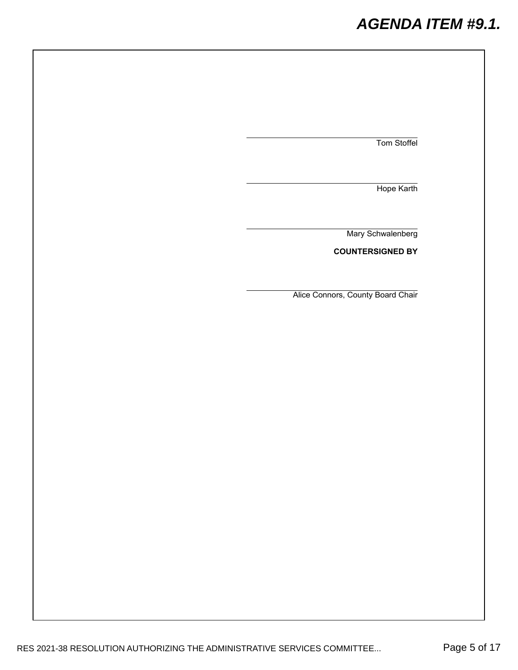# *AGENDA ITEM #9.1.*

Tom Stoffel

Hope Karth

Mary Schwalenberg

**COUNTERSIGNED BY**

Alice Connors, County Board Chair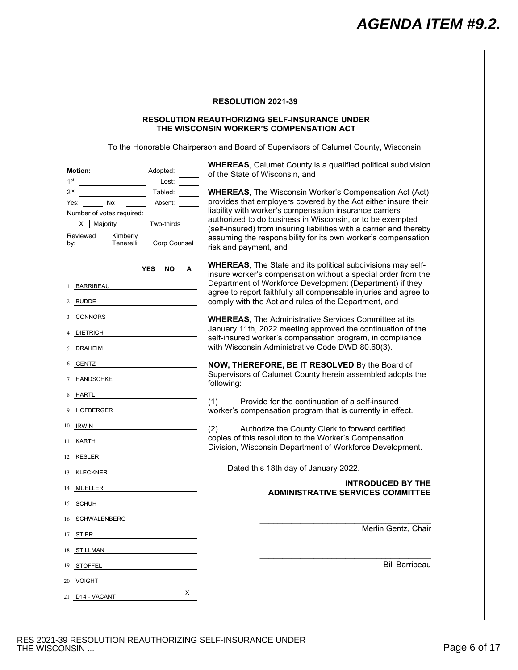#### **RESOLUTION REAUTHORIZING SELF-INSURANCE UNDER THE WISCONSIN WORKER'S COMPENSATION ACT**

To the Honorable Chairperson and Board of Supervisors of Calumet County, Wisconsin:

<span id="page-5-0"></span>

| <b>Motion:</b>                                                                     | Adopted:              | <b>WHEREAS, Calumet County is a qualified political subdivision</b>                                                                                                                    |  |  |  |  |
|------------------------------------------------------------------------------------|-----------------------|----------------------------------------------------------------------------------------------------------------------------------------------------------------------------------------|--|--|--|--|
| 1 <sup>st</sup>                                                                    | Lost:                 | of the State of Wisconsin, and                                                                                                                                                         |  |  |  |  |
| 2 <sub>nd</sub>                                                                    | Tabled:               | <b>WHEREAS, The Wisconsin Worker's Compensation Act (Act)</b>                                                                                                                          |  |  |  |  |
| No:<br>Yes:<br>Absent:<br>Number of votes required:<br>Majority<br>Two-thirds<br>х |                       | provides that employers covered by the Act either insure their<br>liability with worker's compensation insurance carriers<br>authorized to do business in Wisconsin, or to be exempted |  |  |  |  |
| Reviewed<br>Kimberly<br>Tenerelli<br>by:                                           | Corp Counsel          | (self-insured) from insuring liabilities with a carrier and thereby<br>assuming the responsibility for its own worker's compensation<br>risk and payment, and                          |  |  |  |  |
|                                                                                    | <b>YES</b><br>ΝO<br>А | <b>WHEREAS, The State and its political subdivisions may self-</b><br>insure worker's compensation without a special order from the                                                    |  |  |  |  |
| BARRIBEAU                                                                          |                       | Department of Workforce Development (Department) if they<br>agree to report faithfully all compensable injuries and agree to                                                           |  |  |  |  |
| <b>BUDDE</b><br>2                                                                  |                       | comply with the Act and rules of the Department, and                                                                                                                                   |  |  |  |  |
| CONNORS<br>3                                                                       |                       | <b>WHEREAS, The Administrative Services Committee at its</b>                                                                                                                           |  |  |  |  |
| <b>DIETRICH</b>                                                                    |                       | January 11th, 2022 meeting approved the continuation of the<br>self-insured worker's compensation program, in compliance                                                               |  |  |  |  |
| <b>DRAHEIM</b><br>5                                                                |                       | with Wisconsin Administrative Code DWD 80.60(3).                                                                                                                                       |  |  |  |  |
| GENTZ<br>6                                                                         |                       | NOW, THEREFORE, BE IT RESOLVED By the Board of                                                                                                                                         |  |  |  |  |
| <b>HANDSCHKE</b><br>7                                                              |                       | Supervisors of Calumet County herein assembled adopts the<br>following:                                                                                                                |  |  |  |  |
| HARTL<br>8                                                                         |                       | Provide for the continuation of a self-insured                                                                                                                                         |  |  |  |  |
| HOFBERGER<br>9                                                                     |                       | (1)<br>worker's compensation program that is currently in effect.                                                                                                                      |  |  |  |  |
| 10 IRWIN                                                                           |                       | (2)<br>Authorize the County Clerk to forward certified                                                                                                                                 |  |  |  |  |
| KARTH<br>11.                                                                       |                       | copies of this resolution to the Worker's Compensation<br>Division, Wisconsin Department of Workforce Development.                                                                     |  |  |  |  |
| KESLER<br>12                                                                       |                       |                                                                                                                                                                                        |  |  |  |  |
| <b>KLECKNER</b><br>13                                                              |                       | Dated this 18th day of January 2022.                                                                                                                                                   |  |  |  |  |
| MUELLER<br>14                                                                      |                       | <b>INTRODUCED BY THE</b><br><b>ADMINISTRATIVE SERVICES COMMITTEE</b>                                                                                                                   |  |  |  |  |
| SCHUH<br>15                                                                        |                       |                                                                                                                                                                                        |  |  |  |  |
| 16 SCHWALENBERG                                                                    |                       |                                                                                                                                                                                        |  |  |  |  |
| 17 STIER                                                                           |                       | Merlin Gentz, Chair                                                                                                                                                                    |  |  |  |  |
| 18 STILLMAN                                                                        |                       |                                                                                                                                                                                        |  |  |  |  |
| 19 STOFFEL                                                                         |                       | <b>Bill Barribeau</b>                                                                                                                                                                  |  |  |  |  |
| 20 VOIGHT                                                                          |                       |                                                                                                                                                                                        |  |  |  |  |
| 21 D14 - VACANT                                                                    | x                     |                                                                                                                                                                                        |  |  |  |  |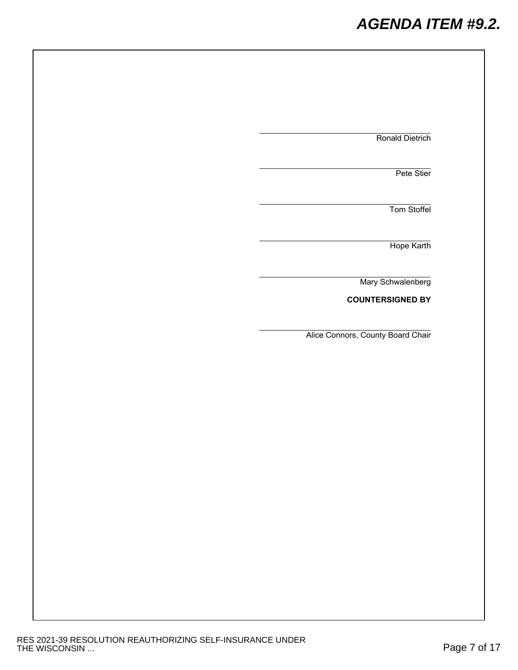# *AGENDA ITEM #9.2.*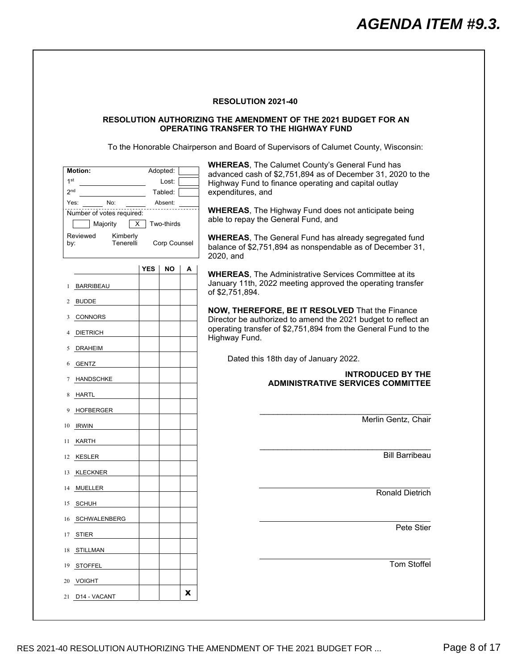#### <span id="page-7-0"></span>**RESOLUTION AUTHORIZING THE AMENDMENT OF THE 2021 BUDGET FOR AN OPERATING TRANSFER TO THE HIGHWAY FUND**

To the Honorable Chairperson and Board of Supervisors of Calumet County, Wisconsin:

| <b>Motion:</b><br>1 <sup>st</sup><br>2 <sub>nd</sub><br>No:<br>Yes:<br>Number of votes required:<br>Majority<br>Reviewed<br>by: | х<br>Kimberly<br>Tenerelli | Adopted:<br>Lost:<br>Tabled:<br>Absent:<br>Two-thirds<br>Corp Counsel |   | <b>WHEREAS, The Calumet County's General Fund has</b><br>advanced cash of \$2,751,894 as of December 31, 2020 to the<br>Highway Fund to finance operating and capital outlay<br>expenditures, and<br><b>WHEREAS, The Highway Fund does not anticipate being</b><br>able to repay the General Fund, and<br><b>WHEREAS, The General Fund has already segregated fund</b><br>balance of \$2,751,894 as nonspendable as of December 31,<br>2020, and |
|---------------------------------------------------------------------------------------------------------------------------------|----------------------------|-----------------------------------------------------------------------|---|--------------------------------------------------------------------------------------------------------------------------------------------------------------------------------------------------------------------------------------------------------------------------------------------------------------------------------------------------------------------------------------------------------------------------------------------------|
| <b>BARRIBEAU</b><br>1                                                                                                           | <b>YES</b>                 | NO                                                                    | А | <b>WHEREAS, The Administrative Services Committee at its</b><br>January 11th, 2022 meeting approved the operating transfer                                                                                                                                                                                                                                                                                                                       |
|                                                                                                                                 |                            |                                                                       |   | of \$2,751,894.                                                                                                                                                                                                                                                                                                                                                                                                                                  |
| <b>BUDDE</b><br>2<br>CONNORS<br>3                                                                                               |                            |                                                                       |   | NOW, THEREFORE, BE IT RESOLVED That the Finance<br>Director be authorized to amend the 2021 budget to reflect an                                                                                                                                                                                                                                                                                                                                 |
| <b>DIETRICH</b>                                                                                                                 |                            |                                                                       |   | operating transfer of \$2,751,894 from the General Fund to the<br>Highway Fund.                                                                                                                                                                                                                                                                                                                                                                  |
| <b>DRAHEIM</b><br>5                                                                                                             |                            |                                                                       |   |                                                                                                                                                                                                                                                                                                                                                                                                                                                  |
| GENTZ<br>6                                                                                                                      |                            |                                                                       |   | Dated this 18th day of January 2022.                                                                                                                                                                                                                                                                                                                                                                                                             |
| <b>HANDSCHKE</b><br>7                                                                                                           |                            |                                                                       |   | <b>INTRODUCED BY THE</b><br><b>ADMINISTRATIVE SERVICES COMMITTEE</b>                                                                                                                                                                                                                                                                                                                                                                             |
| HARTL<br>8                                                                                                                      |                            |                                                                       |   |                                                                                                                                                                                                                                                                                                                                                                                                                                                  |
| <b>HOFBERGER</b><br>9                                                                                                           |                            |                                                                       |   |                                                                                                                                                                                                                                                                                                                                                                                                                                                  |
| <b>IRWIN</b><br>10                                                                                                              |                            |                                                                       |   | Merlin Gentz, Chair                                                                                                                                                                                                                                                                                                                                                                                                                              |
| KARTH<br>11                                                                                                                     |                            |                                                                       |   |                                                                                                                                                                                                                                                                                                                                                                                                                                                  |
| KESLER<br>12                                                                                                                    |                            |                                                                       |   | <b>Bill Barribeau</b>                                                                                                                                                                                                                                                                                                                                                                                                                            |
| KLECKNER<br>13                                                                                                                  |                            |                                                                       |   |                                                                                                                                                                                                                                                                                                                                                                                                                                                  |
| MUELLER<br>14                                                                                                                   |                            |                                                                       |   | <b>Ronald Dietrich</b>                                                                                                                                                                                                                                                                                                                                                                                                                           |
| SCHUH<br>15                                                                                                                     |                            |                                                                       |   |                                                                                                                                                                                                                                                                                                                                                                                                                                                  |
| 16 SCHWALENBERG                                                                                                                 |                            |                                                                       |   | Pete Stier                                                                                                                                                                                                                                                                                                                                                                                                                                       |
| 17 STIER                                                                                                                        |                            |                                                                       |   |                                                                                                                                                                                                                                                                                                                                                                                                                                                  |
| 18 STILLMAN                                                                                                                     |                            |                                                                       |   |                                                                                                                                                                                                                                                                                                                                                                                                                                                  |
| 19 STOFFEL                                                                                                                      |                            |                                                                       |   | Tom Stoffel                                                                                                                                                                                                                                                                                                                                                                                                                                      |
| 20 VOIGHT                                                                                                                       |                            |                                                                       |   |                                                                                                                                                                                                                                                                                                                                                                                                                                                  |
| 21 D14 - VACANT                                                                                                                 |                            |                                                                       | X |                                                                                                                                                                                                                                                                                                                                                                                                                                                  |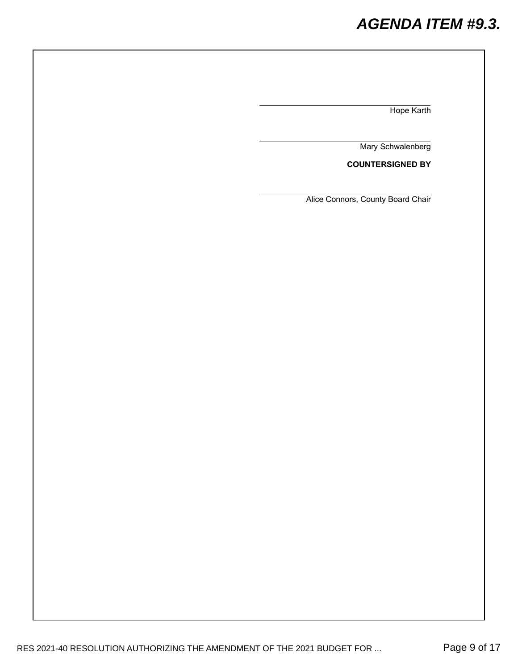# *AGENDA ITEM #9.3.*

Hope Karth

Mary Schwalenberg

**COUNTERSIGNED BY**

Alice Connors, County Board Chair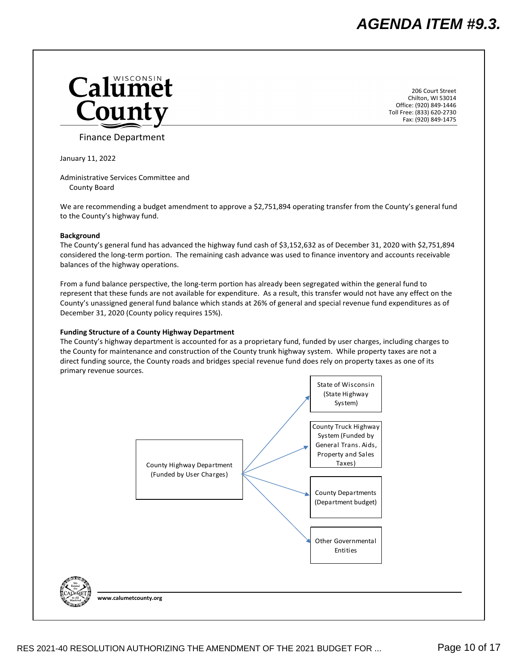<span id="page-9-0"></span>

206 Court Street Chilton, WI 53014 Office: (920) 849‐1446 Toll Free: (833) 620‐2730 Fax: (920) 849‐1475

Finance Department

January 11, 2022

Administrative Services Committee and County Board

We are recommending a budget amendment to approve a \$2,751,894 operating transfer from the County's general fund to the County's highway fund.

#### **Background**

The County's general fund has advanced the highway fund cash of \$3,152,632 as of December 31, 2020 with \$2,751,894 considered the long‐term portion. The remaining cash advance was used to finance inventory and accounts receivable balances of the highway operations.

From a fund balance perspective, the long-term portion has already been segregated within the general fund to represent that these funds are not available for expenditure. As a result, this transfer would not have any effect on the County's unassigned general fund balance which stands at 26% of general and special revenue fund expenditures as of December 31, 2020 (County policy requires 15%).

#### **Funding Structure of a County Highway Department**

The County's highway department is accounted for as a proprietary fund, funded by user charges, including charges to the County for maintenance and construction of the County trunk highway system. While property taxes are not a direct funding source, the County roads and bridges special revenue fund does rely on property taxes as one of its primary revenue sources.

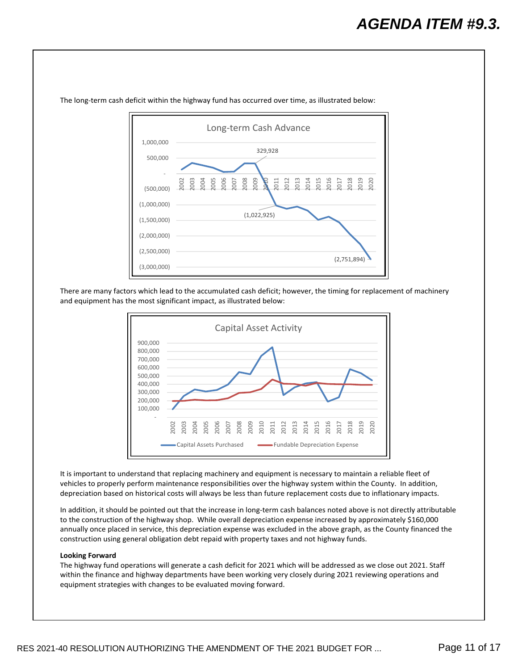

The long-term cash deficit within the highway fund has occurred over time, as illustrated below:

There are many factors which lead to the accumulated cash deficit; however, the timing for replacement of machinery and equipment has the most significant impact, as illustrated below:



It is important to understand that replacing machinery and equipment is necessary to maintain a reliable fleet of vehicles to properly perform maintenance responsibilities over the highway system within the County. In addition, depreciation based on historical costs will always be less than future replacement costs due to inflationary impacts.

In addition, it should be pointed out that the increase in long‐term cash balances noted above is not directly attributable to the construction of the highway shop. While overall depreciation expense increased by approximately \$160,000 annually once placed in service, this depreciation expense was excluded in the above graph, as the County financed the construction using general obligation debt repaid with property taxes and not highway funds.

#### **Looking Forward**

The highway fund operations will generate a cash deficit for 2021 which will be addressed as we close out 2021. Staff within the finance and highway departments have been working very closely during 2021 reviewing operations and equipment strategies with changes to be evaluated moving forward.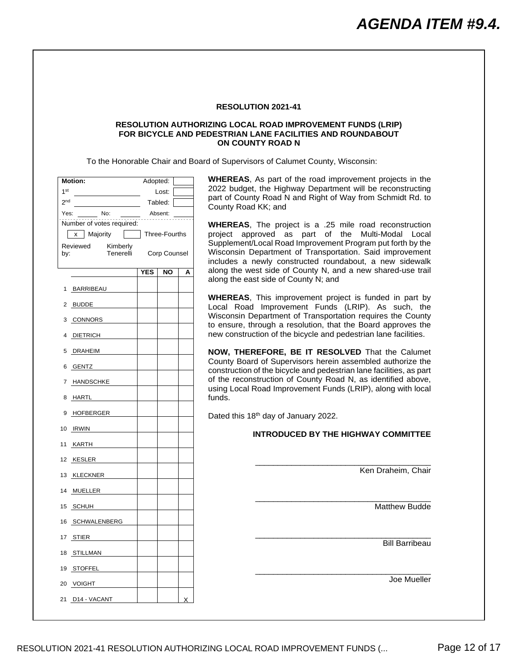#### <span id="page-11-0"></span>**RESOLUTION AUTHORIZING LOCAL ROAD IMPROVEMENT FUNDS (LRIP) FOR BICYCLE AND PEDESTRIAN LANE FACILITIES AND ROUNDABOUT ON COUNTY ROAD N**

To the Honorable Chair and Board of Supervisors of Calumet County, Wisconsin:

| <b>Motion:</b>                                                                   |               | Adopted:            |   |
|----------------------------------------------------------------------------------|---------------|---------------------|---|
| 1 <sup>st</sup>                                                                  |               | Lost:               |   |
| 2 <sup>nd</sup>                                                                  |               | Tabled:             |   |
| No:<br>ber since<br>Yes:<br>-- <sub>---------</sub><br>Number of votes required: |               | Absent:             |   |
| x Majority<br>Reviewed<br>Kimberly<br>Tenerelli<br>by:                           | Three-Fourths | <b>Corp Counsel</b> |   |
|                                                                                  | <b>YES</b>    | NO                  | А |
| BARRIBEAU<br>1                                                                   |               |                     |   |
| 2 BUDDE                                                                          |               |                     |   |
| 3 CONNORS                                                                        |               |                     |   |
| 4 DIETRICH                                                                       |               |                     |   |
| DRAHEIM<br>5                                                                     |               |                     |   |
| 6 GENTZ                                                                          |               |                     |   |
| 7 HANDSCHKE                                                                      |               |                     |   |
| 8<br><u>HARTL</u>                                                                |               |                     |   |
| 9 HOFBERGER                                                                      |               |                     |   |
| 10 IRWIN                                                                         |               |                     |   |
| 11<br>KARTH                                                                      |               |                     |   |
| 12 KESLER                                                                        |               |                     |   |
| 13 KLECKNER                                                                      |               |                     |   |
| 14 MUELLER                                                                       |               |                     |   |
| 15 SCHUH                                                                         |               |                     |   |
| 16 SCHWALENBERG                                                                  |               |                     |   |
| 17 STIER                                                                         |               |                     |   |
| 18 STILLMAN                                                                      |               |                     |   |
| 19 STOFFEL                                                                       |               |                     |   |
| 20 VOIGHT                                                                        |               |                     |   |
| 21 D14 - VACANT                                                                  |               |                     | Χ |

**S**, As part of the road improvement projects in the get, the Highway Department will be reconstructing unty Road N and Right of Way from Schmidt Rd. to  $bad$  KK; and

**S**, The project is a .25 mile road reconstruction project approved as part of the Multi-Modal Local nt/Local Road Improvement Program put forth by the Department of Transportation. Said improvement a newly constructed roundabout, a new sidewalk west side of County N, and a new shared-use trail east side of County N; and

**S**, This improvement project is funded in part by ad Improvement Funds (LRIP). As such, the Department of Transportation requires the County through a resolution, that the Board approves the ruction of the bicycle and pedestrian lane facilities.

**EREFORE, BE IT RESOLVED** That the Calumet bard of Supervisors herein assembled authorize the on of the bicycle and pedestrian lane facilities, as part onstruction of County Road N, as identified above, al Road Improvement Funds (LRIP), along with local

18<sup>th</sup> day of January 2022.

#### **INTRODUCED BY THE HIGHWAY COMMITTEE**

\_\_\_\_\_\_\_\_\_\_\_\_\_\_\_\_\_\_\_\_\_\_\_\_\_\_\_\_\_\_\_\_\_\_\_\_\_\_\_

\_\_\_\_\_\_\_\_\_\_\_\_\_\_\_\_\_\_\_\_\_\_\_\_\_\_\_\_\_\_\_\_\_\_\_\_\_\_\_

\_\_\_\_\_\_\_\_\_\_\_\_\_\_\_\_\_\_\_\_\_\_\_\_\_\_\_\_\_\_\_\_\_\_\_\_\_\_\_

\_\_\_\_\_\_\_\_\_\_\_\_\_\_\_\_\_\_\_\_\_\_\_\_\_\_\_\_\_\_\_\_\_\_\_\_\_\_\_

Ken Draheim, Chair

Matthew Budde

Bill Barribeau

Joe Mueller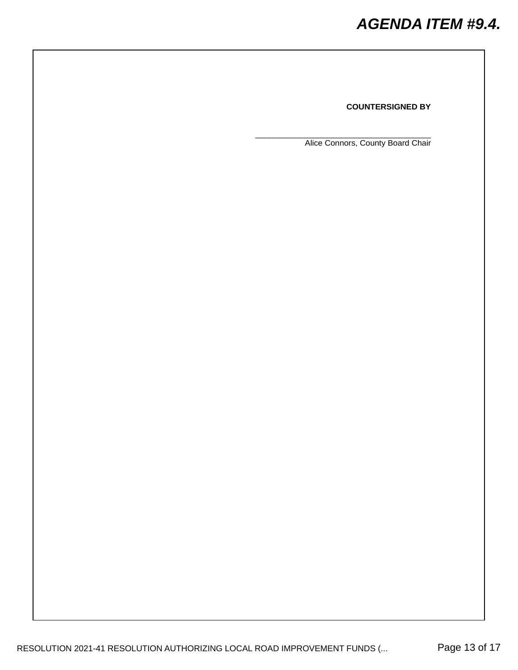### **COUNTERSIGNED BY**

Alice Connors, County Board Chair

\_\_\_\_\_\_\_\_\_\_\_\_\_\_\_\_\_\_\_\_\_\_\_\_\_\_\_\_\_\_\_\_\_\_\_\_\_\_\_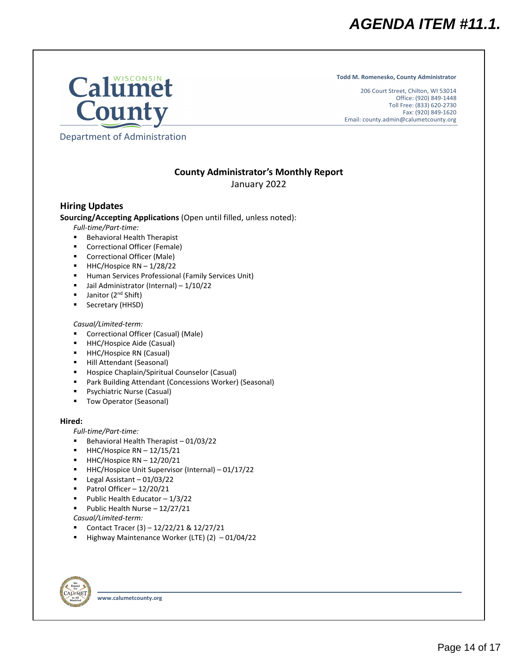**Todd M. Romenesko, County Administrator**

206 Court Street, Chilton, WI 53014 Office: (920) 849-1448 Toll Free: (833) 620-2730 Fax: (920) 849-1620 Email: county.admin@calumetcounty.org

<span id="page-13-0"></span>

Department of Administration

# **County Administrator's Monthly Report**

January 2022

# **Hiring Updates**

**Sourcing/Accepting Applications** (Open until filled, unless noted):

*Full-time/Part-time:*

- Behavioral Health Therapist
- Correctional Officer (Female)
- Correctional Officer (Male)
- $-HHC/H$ ospice RN  $-1/28/22$
- **Human Services Professional (Family Services Unit)**
- Jail Administrator (Internal) 1/10/22
- Janitor (2<sup>nd</sup> Shift)
- Secretary (HHSD)

## *Casual/Limited-term:*

- Correctional Officer (Casual) (Male)
- **HHC/Hospice Aide (Casual)**
- HHC/Hospice RN (Casual)
- Hill Attendant (Seasonal)
- **Hospice Chaplain/Spiritual Counselor (Casual)**
- Park Building Attendant (Concessions Worker) (Seasonal)
- Psychiatric Nurse (Casual)
- Tow Operator (Seasonal)

## **Hired:**

*Full-time/Part-time:*

- Behavioral Health Therapist 01/03/22
- $\blacksquare$  HHC/Hospice RN 12/15/21
- $HHC/H$ ospice RN  $12/20/21$
- HHC/Hospice Unit Supervisor (Internal) 01/17/22
- Legal Assistant 01/03/22
- Patrol Officer  $-12/20/21$
- Public Health Educator  $-1/3/22$
- Public Health Nurse  $-12/27/21$
- *Casual/Limited-term:*
- Contact Tracer (3) 12/22/21 & 12/27/21
- Highway Maintenance Worker (LTE)  $(2) -01/04/22$



**www.calumetcounty.org**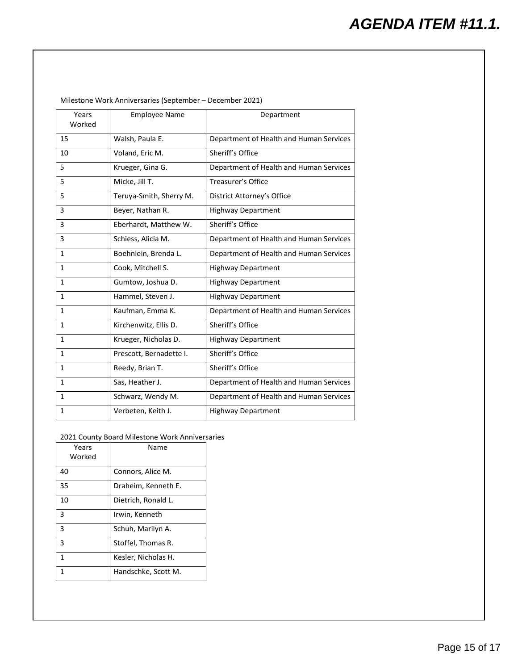| Years<br>Worked | <b>Employee Name</b>    | Department                              |  |  |  |
|-----------------|-------------------------|-----------------------------------------|--|--|--|
| 15              | Walsh, Paula E.         | Department of Health and Human Services |  |  |  |
| 10              | Voland, Eric M.         | Sheriff's Office                        |  |  |  |
| 5               | Krueger, Gina G.        | Department of Health and Human Services |  |  |  |
| 5               | Micke, Jill T.          | Treasurer's Office                      |  |  |  |
| 5               | Teruya-Smith, Sherry M. | District Attorney's Office              |  |  |  |
| 3               | Beyer, Nathan R.        | <b>Highway Department</b>               |  |  |  |
| 3               | Eberhardt, Matthew W.   | Sheriff's Office                        |  |  |  |
| 3               | Schiess, Alicia M.      | Department of Health and Human Services |  |  |  |
| $\mathbf{1}$    | Boehnlein, Brenda L.    | Department of Health and Human Services |  |  |  |
| 1               | Cook, Mitchell S.       | <b>Highway Department</b>               |  |  |  |
| $\mathbf{1}$    | Gumtow, Joshua D.       | <b>Highway Department</b>               |  |  |  |
| $\mathbf{1}$    | Hammel, Steven J.       | <b>Highway Department</b>               |  |  |  |
| $\mathbf{1}$    | Kaufman, Emma K.        | Department of Health and Human Services |  |  |  |
| $\mathbf{1}$    | Kirchenwitz, Ellis D.   | Sheriff's Office                        |  |  |  |
| $\mathbf{1}$    | Krueger, Nicholas D.    | <b>Highway Department</b>               |  |  |  |
| $\mathbf{1}$    | Prescott, Bernadette I. | Sheriff's Office                        |  |  |  |
| 1               | Reedy, Brian T.         | Sheriff's Office                        |  |  |  |
| $\mathbf{1}$    | Sas, Heather J.         | Department of Health and Human Services |  |  |  |
| $\mathbf{1}$    | Schwarz, Wendy M.       | Department of Health and Human Services |  |  |  |
| $\mathbf{1}$    | Verbeten, Keith J.      | <b>Highway Department</b>               |  |  |  |

Milestone Work Anniversaries (September – December 2021)

2021 County Board Milestone Work Anniversaries

| Years<br>Worked | Name                |
|-----------------|---------------------|
| 40              | Connors, Alice M.   |
| 35              | Draheim, Kenneth E. |
| 10              | Dietrich, Ronald L. |
| 3               | Irwin, Kenneth      |
| 3               | Schuh, Marilyn A.   |
| 3               | Stoffel, Thomas R.  |
| 1               | Kesler, Nicholas H. |
| 1               | Handschke, Scott M. |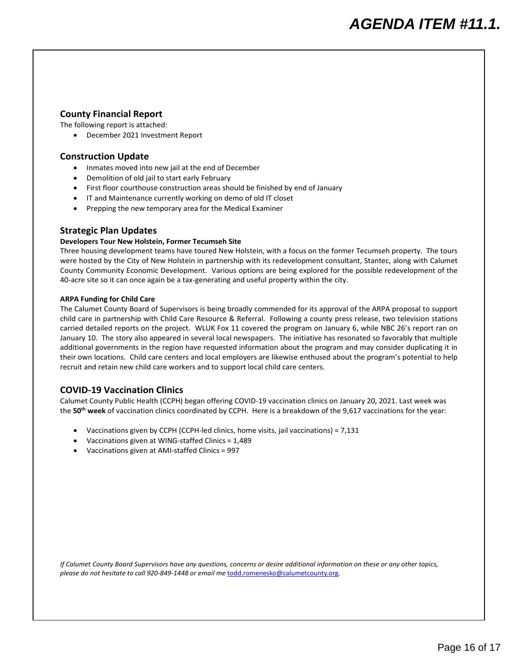## **County Financial Report**

The following report is attached:

• December 2021 Investment Report

# **Construction Update**

- Inmates moved into new jail at the end of December
- Demolition of old jail to start early February
- First floor courthouse construction areas should be finished by end of January
- IT and Maintenance currently working on demo of old IT closet
- Prepping the new temporary area for the Medical Examiner

# **Strategic Plan Updates**

### **Developers Tour New Holstein, Former Tecumseh Site**

Three housing development teams have toured New Holstein, with a focus on the former Tecumseh property. The tours were hosted by the City of New Holstein in partnership with its redevelopment consultant, Stantec, along with Calumet County Community Economic Development. Various options are being explored for the possible redevelopment of the 40-acre site so it can once again be a tax-generating and useful property within the city.

#### **ARPA Funding for Child Care**

The Calumet County Board of Supervisors is being broadly commended for its approval of the ARPA proposal to support child care in partnership with Child Care Resource & Referral. Following a county press release, two television stations carried detailed reports on the project. WLUK Fox 11 covered the program on January 6, while NBC 26's report ran on January 10. The story also appeared in several local newspapers. The initiative has resonated so favorably that multiple additional governments in the region have requested information about the program and may consider duplicating it in their own locations. Child care centers and local employers are likewise enthused about the program's potential to help recruit and retain new child care workers and to support local child care centers.

# **COVID-19 Vaccination Clinics**

Calumet County Public Health (CCPH) began offering COVID-19 vaccination clinics on January 20, 2021. Last week was the **50th week** of vaccination clinics coordinated by CCPH. Here is a breakdown of the 9,617 vaccinations for the year:

- Vaccinations given by CCPH (CCPH-led clinics, home visits, jail vaccinations) = 7,131
- Vaccinations given at WING-staffed Clinics = 1,489
- Vaccinations given at AMI-staffed Clinics = 997

*If Calumet County Board Supervisors have any questions, concerns or desire additional information on these or any other topics, please do not hesitate to call 920-849-1448 or email me* [todd.romenesko@calumetcounty.org.](mailto:todd.romenesko@calumetcounty.org)